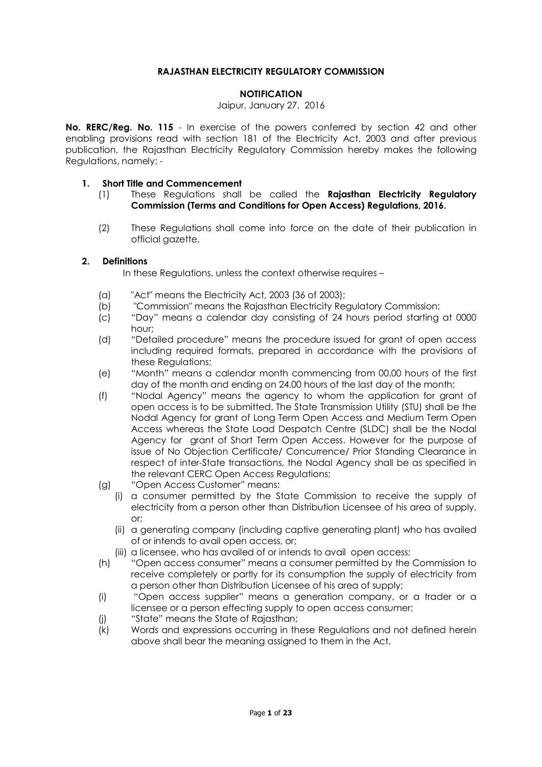### **RAJASTHAN ELECTRICITY REGULATORY COMMISSION**

#### **NOTIFICATION**

### Jaipur, January 27, 2016

**No. RERC/Reg. No. 115** - In exercise of the powers conferred by section 42 and other enabling provisions read with section 181 of the Electricity Act, 2003 and after previous publication, the Rajasthan Electricity Regulatory Commission hereby makes the following Regulations, namely: -

#### **1. Short Title and Commencement**

- (1) These Regulations shall be called the **Rajasthan Electricity Regulatory Commission (Terms and Conditions for Open Access) Regulations, 2016.**
- (2) These Regulations shall come into force on the date of their publication in official gazette.

### **2. Definitions**

In these Regulations, unless the context otherwise requires –

- (a) "Act" means the Electricity Act, 2003 (36 of 2003);
- (b) "Commission" means the Rajasthan Electricity Regulatory Commission;
- (c) "Day" means a calendar day consisting of 24 hours period starting at 0000 hour;
- (d) "Detailed procedure" means the procedure issued for grant of open access including required formats, prepared in accordance with the provisions of these Regulations;
- (e) "Month" means a calendar month commencing from 00.00 hours of the first day of the month and ending on 24.00 hours of the last day of the month;
- (f) "Nodal Agency" means the agency to whom the application for grant of open access is to be submitted. The State Transmission Utility (STU) shall be the Nodal Agency for grant of Long Term Open Access and Medium Term Open Access whereas the State Load Despatch Centre (SLDC) shall be the Nodal Agency for grant of Short Term Open Access. However for the purpose of issue of No Objection Certificate/ Concurrence/ Prior Standing Clearance in respect of inter-State transactions, the Nodal Agency shall be as specified in the relevant CERC Open Access Regulations;
- (g) "Open Access Customer" means:
	- (i) a consumer permitted by the State Commission to receive the supply of electricity from a person other than Distribution Licensee of his area of supply, or;
	- (ii) a generating company (including captive generating plant) who has availed of or intends to avail open access, or;
	- (iii) a licensee, who has availed of or intends to avail open access;
- (h) "Open access consumer" means a consumer permitted by the Commission to receive completely or partly for its consumption the supply of electricity from a person other than Distribution Licensee of his area of supply;
- (i) "Open access supplier" means a generation company, or a trader or a licensee or a person effecting supply to open access consumer;
- (j) "State" means the State of Rajasthan;
- (k) Words and expressions occurring in these Regulations and not defined herein above shall bear the meaning assigned to them in the Act.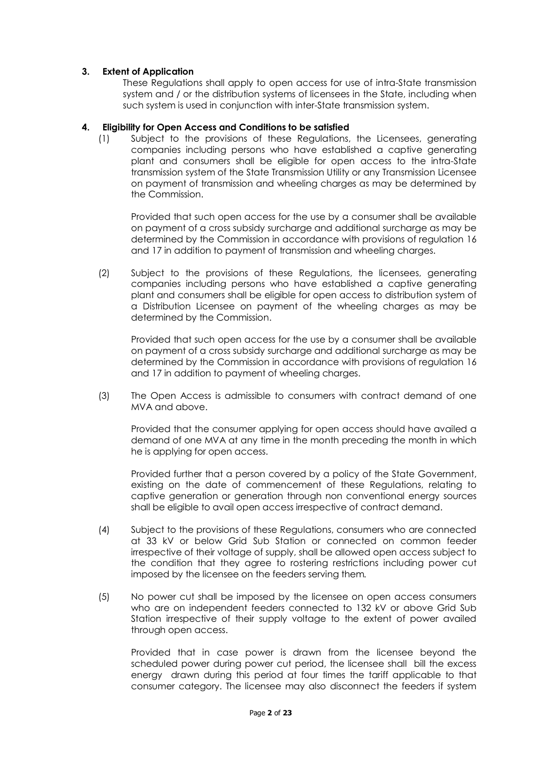### **3. Extent of Application**

These Regulations shall apply to open access for use of intra-State transmission system and / or the distribution systems of licensees in the State, including when such system is used in conjunction with inter-State transmission system.

### **4. Eligibility for Open Access and Conditions to be satisfied**

(1) Subject to the provisions of these Regulations, the Licensees, generating companies including persons who have established a captive generating plant and consumers shall be eligible for open access to the intra-State transmission system of the State Transmission Utility or any Transmission Licensee on payment of transmission and wheeling charges as may be determined by the Commission.

Provided that such open access for the use by a consumer shall be available on payment of a cross subsidy surcharge and additional surcharge as may be determined by the Commission in accordance with provisions of regulation 16 and 17 in addition to payment of transmission and wheeling charges.

(2) Subject to the provisions of these Regulations, the licensees, generating companies including persons who have established a captive generating plant and consumers shall be eligible for open access to distribution system of a Distribution Licensee on payment of the wheeling charges as may be determined by the Commission.

Provided that such open access for the use by a consumer shall be available on payment of a cross subsidy surcharge and additional surcharge as may be determined by the Commission in accordance with provisions of regulation 16 and 17 in addition to payment of wheeling charges.

(3) The Open Access is admissible to consumers with contract demand of one MVA and above.

Provided that the consumer applying for open access should have availed a demand of one MVA at any time in the month preceding the month in which he is applying for open access.

Provided further that a person covered by a policy of the State Government, existing on the date of commencement of these Regulations, relating to captive generation or generation through non conventional energy sources shall be eligible to avail open access irrespective of contract demand.

- (4) Subject to the provisions of these Regulations, consumers who are connected at 33 kV or below Grid Sub Station or connected on common feeder irrespective of their voltage of supply, shall be allowed open access subject to the condition that they agree to rostering restrictions including power cut imposed by the licensee on the feeders serving them*.*
- (5) No power cut shall be imposed by the licensee on open access consumers who are on independent feeders connected to 132 kV or above Grid Sub Station irrespective of their supply voltage to the extent of power availed through open access.

Provided that in case power is drawn from the licensee beyond the scheduled power during power cut period, the licensee shall bill the excess energy drawn during this period at four times the tariff applicable to that consumer category. The licensee may also disconnect the feeders if system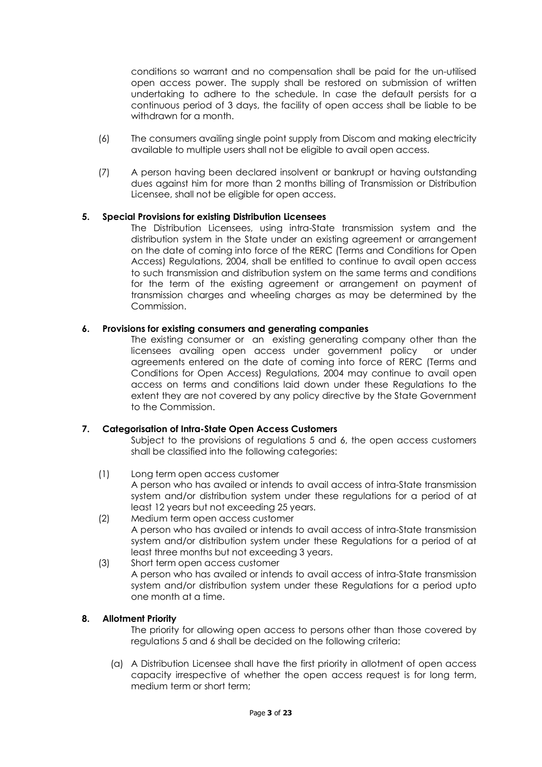conditions so warrant and no compensation shall be paid for the un-utilised open access power. The supply shall be restored on submission of written undertaking to adhere to the schedule. In case the default persists for a continuous period of 3 days, the facility of open access shall be liable to be withdrawn for a month.

- (6) The consumers availing single point supply from Discom and making electricity available to multiple users shall not be eligible to avail open access.
- (7) A person having been declared insolvent or bankrupt or having outstanding dues against him for more than 2 months billing of Transmission or Distribution Licensee, shall not be eligible for open access.

### **5. Special Provisions for existing Distribution Licensees**

The Distribution Licensees, using intra-State transmission system and the distribution system in the State under an existing agreement or arrangement on the date of coming into force of the RERC (Terms and Conditions for Open Access) Regulations, 2004, shall be entitled to continue to avail open access to such transmission and distribution system on the same terms and conditions for the term of the existing agreement or arrangement on payment of transmission charges and wheeling charges as may be determined by the Commission.

### **6. Provisions for existing consumers and generating companies**

The existing consumer or an existing generating company other than the licensees availing open access under government policy or under agreements entered on the date of coming into force of RERC (Terms and Conditions for Open Access) Regulations, 2004 may continue to avail open access on terms and conditions laid down under these Regulations to the extent they are not covered by any policy directive by the State Government to the Commission.

## **7. Categorisation of Intra-State Open Access Customers**

Subject to the provisions of regulations 5 and 6, the open access customers shall be classified into the following categories:

- (1) Long term open access customer A person who has availed or intends to avail access of intra-State transmission system and/or distribution system under these regulations for a period of at least 12 years but not exceeding 25 years.
- (2) Medium term open access customer A person who has availed or intends to avail access of intra-State transmission system and/or distribution system under these Regulations for a period of at least three months but not exceeding 3 years.
- (3) Short term open access customer A person who has availed or intends to avail access of intra-State transmission system and/or distribution system under these Regulations for a period upto one month at a time.

## **8. Allotment Priority**

The priority for allowing open access to persons other than those covered by regulations 5 and 6 shall be decided on the following criteria:

(a) A Distribution Licensee shall have the first priority in allotment of open access capacity irrespective of whether the open access request is for long term, medium term or short term;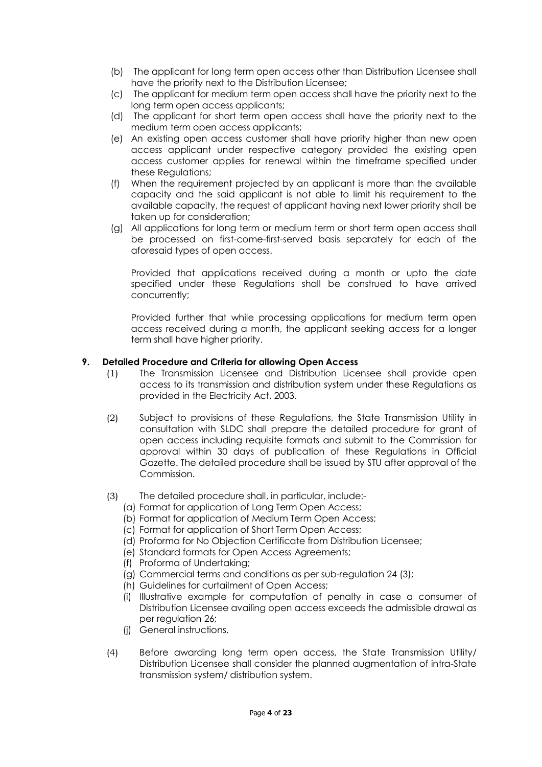- (b) The applicant for long term open access other than Distribution Licensee shall have the priority next to the Distribution Licensee;
- (c) The applicant for medium term open access shall have the priority next to the long term open access applicants;
- (d) The applicant for short term open access shall have the priority next to the medium term open access applicants;
- (e) An existing open access customer shall have priority higher than new open access applicant under respective category provided the existing open access customer applies for renewal within the timeframe specified under these Regulations;
- (f) When the requirement projected by an applicant is more than the available capacity and the said applicant is not able to limit his requirement to the available capacity, the request of applicant having next lower priority shall be taken up for consideration;
- (g) All applications for long term or medium term or short term open access shall be processed on first-come-first-served basis separately for each of the aforesaid types of open access.

Provided that applications received during a month or upto the date specified under these Regulations shall be construed to have arrived concurrently;

Provided further that while processing applications for medium term open access received during a month, the applicant seeking access for a longer term shall have higher priority.

### **9. Detailed Procedure and Criteria for allowing Open Access**

- (1) The Transmission Licensee and Distribution Licensee shall provide open access to its transmission and distribution system under these Regulations as provided in the Electricity Act, 2003.
- (2) Subject to provisions of these Regulations, the State Transmission Utility in consultation with SLDC shall prepare the detailed procedure for grant of open access including requisite formats and submit to the Commission for approval within 30 days of publication of these Regulations in Official Gazette. The detailed procedure shall be issued by STU after approval of the Commission.
- (3) The detailed procedure shall, in particular, include:-
	- (a) Format for application of Long Term Open Access;
	- (b) Format for application of Medium Term Open Access;
	- (c) Format for application of Short Term Open Access;
	- (d) Proforma for No Objection Certificate from Distribution Licensee;
	- (e) Standard formats for Open Access Agreements;
	- (f) Proforma of Undertaking;
	- (g) Commercial terms and conditions as per sub-regulation 24 (3);
	- (h) Guidelines for curtailment of Open Access;
	- (i) Illustrative example for computation of penalty in case a consumer of Distribution Licensee availing open access exceeds the admissible drawal as per regulation 26;
	- (j) General instructions.
- (4) Before awarding long term open access, the State Transmission Utility/ Distribution Licensee shall consider the planned augmentation of intra-State transmission system/ distribution system.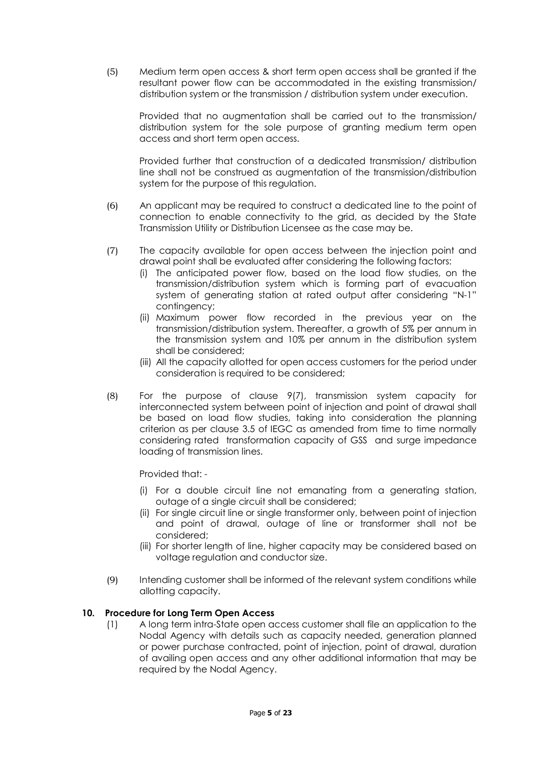(5) Medium term open access & short term open access shall be granted if the resultant power flow can be accommodated in the existing transmission/ distribution system or the transmission / distribution system under execution.

Provided that no augmentation shall be carried out to the transmission/ distribution system for the sole purpose of granting medium term open access and short term open access.

Provided further that construction of a dedicated transmission/ distribution line shall not be construed as augmentation of the transmission/distribution system for the purpose of this regulation.

- (6) An applicant may be required to construct a dedicated line to the point of connection to enable connectivity to the grid, as decided by the State Transmission Utility or Distribution Licensee as the case may be.
- (7) The capacity available for open access between the injection point and drawal point shall be evaluated after considering the following factors:
	- (i) The anticipated power flow, based on the load flow studies, on the transmission/distribution system which is forming part of evacuation system of generating station at rated output after considering "N-1" contingency;
	- (ii) Maximum power flow recorded in the previous year on the transmission/distribution system. Thereafter, a growth of 5% per annum in the transmission system and 10% per annum in the distribution system shall be considered;
	- (iii) All the capacity allotted for open access customers for the period under consideration is required to be considered;
- (8) For the purpose of clause 9(7), transmission system capacity for interconnected system between point of injection and point of drawal shall be based on load flow studies, taking into consideration the planning criterion as per clause 3.5 of IEGC as amended from time to time normally considering rated transformation capacity of GSS and surge impedance loading of transmission lines.

Provided that: -

- (i) For a double circuit line not emanating from a generating station, outage of a single circuit shall be considered;
- (ii) For single circuit line or single transformer only, between point of injection and point of drawal, outage of line or transformer shall not be considered;
- (iii) For shorter length of line, higher capacity may be considered based on voltage regulation and conductor size.
- (9) Intending customer shall be informed of the relevant system conditions while allotting capacity.

## **10. Procedure for Long Term Open Access**

(1) A long term intra-State open access customer shall file an application to the Nodal Agency with details such as capacity needed, generation planned or power purchase contracted, point of injection, point of drawal, duration of availing open access and any other additional information that may be required by the Nodal Agency.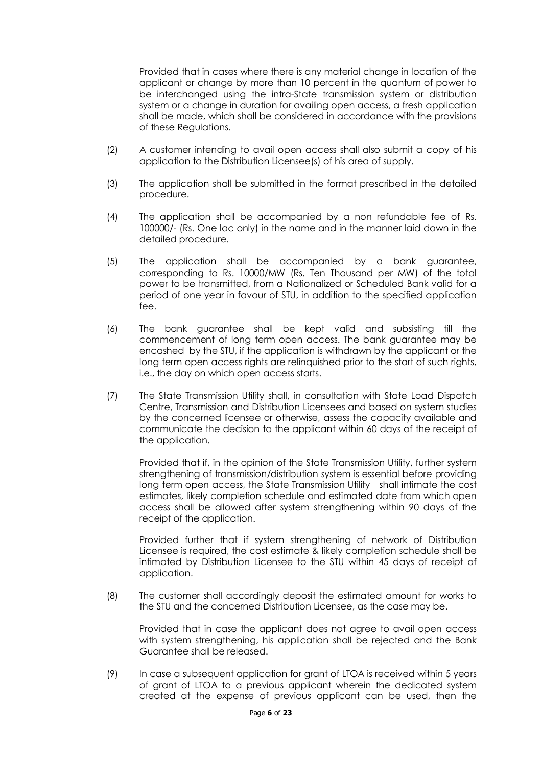Provided that in cases where there is any material change in location of the applicant or change by more than 10 percent in the quantum of power to be interchanged using the intra-State transmission system or distribution system or a change in duration for availing open access, a fresh application shall be made, which shall be considered in accordance with the provisions of these Regulations.

- (2) A customer intending to avail open access shall also submit a copy of his application to the Distribution Licensee(s) of his area of supply.
- (3) The application shall be submitted in the format prescribed in the detailed procedure.
- (4) The application shall be accompanied by a non refundable fee of Rs. 100000/- (Rs. One lac only) in the name and in the manner laid down in the detailed procedure.
- (5) The application shall be accompanied by a bank guarantee, corresponding to Rs. 10000/MW (Rs. Ten Thousand per MW) of the total power to be transmitted, from a Nationalized or Scheduled Bank valid for a period of one year in favour of STU, in addition to the specified application fee.
- (6) The bank guarantee shall be kept valid and subsisting till the commencement of long term open access. The bank guarantee may be encashed by the STU, if the application is withdrawn by the applicant or the long term open access rights are relinquished prior to the start of such rights, i.e., the day on which open access starts.
- (7) The State Transmission Utility shall, in consultation with State Load Dispatch Centre, Transmission and Distribution Licensees and based on system studies by the concerned licensee or otherwise, assess the capacity available and communicate the decision to the applicant within 60 days of the receipt of the application.

Provided that if, in the opinion of the State Transmission Utility, further system strengthening of transmission/distribution system is essential before providing long term open access, the State Transmission Utility shall intimate the cost estimates, likely completion schedule and estimated date from which open access shall be allowed after system strengthening within 90 days of the receipt of the application.

Provided further that if system strengthening of network of Distribution Licensee is required, the cost estimate & likely completion schedule shall be intimated by Distribution Licensee to the STU within 45 days of receipt of application.

(8) The customer shall accordingly deposit the estimated amount for works to the STU and the concerned Distribution Licensee, as the case may be.

Provided that in case the applicant does not agree to avail open access with system strengthening, his application shall be rejected and the Bank Guarantee shall be released.

(9) In case a subsequent application for grant of LTOA is received within 5 years of grant of LTOA to a previous applicant wherein the dedicated system created at the expense of previous applicant can be used, then the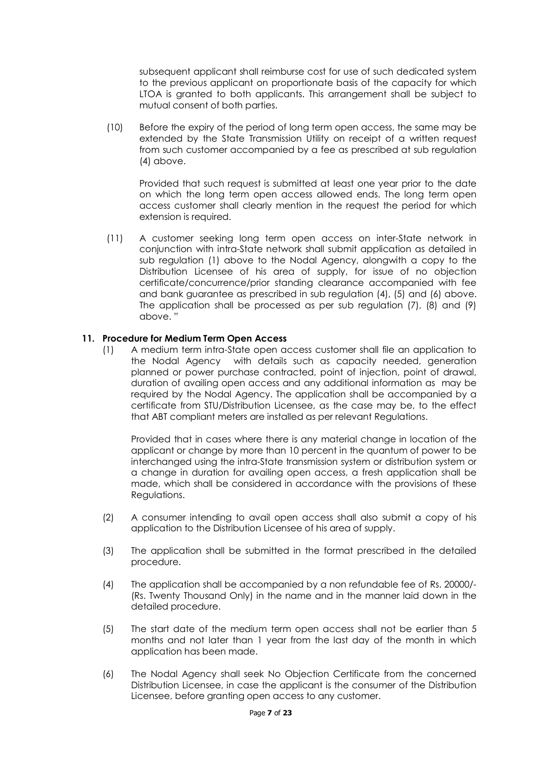subsequent applicant shall reimburse cost for use of such dedicated system to the previous applicant on proportionate basis of the capacity for which LTOA is granted to both applicants. This arrangement shall be subject to mutual consent of both parties.

(10) Before the expiry of the period of long term open access, the same may be extended by the State Transmission Utility on receipt of a written request from such customer accompanied by a fee as prescribed at sub regulation (4) above.

Provided that such request is submitted at least one year prior to the date on which the long term open access allowed ends. The long term open access customer shall clearly mention in the request the period for which extension is required.

(11) A customer seeking long term open access on inter-State network in conjunction with intra-State network shall submit application as detailed in sub regulation (1) above to the Nodal Agency, alongwith a copy to the Distribution Licensee of his area of supply, for issue of no objection certificate/concurrence/prior standing clearance accompanied with fee and bank guarantee as prescribed in sub regulation (4), (5) and (6) above. The application shall be processed as per sub regulation (7), (8) and (9) above. "

## **11. Procedure for Medium Term Open Access**

(1) A medium term intra-State open access customer shall file an application to the Nodal Agency with details such as capacity needed, generation planned or power purchase contracted, point of injection, point of drawal, duration of availing open access and any additional information as may be required by the Nodal Agency. The application shall be accompanied by a certificate from STU/Distribution Licensee, as the case may be, to the effect that ABT compliant meters are installed as per relevant Regulations.

Provided that in cases where there is any material change in location of the applicant or change by more than 10 percent in the quantum of power to be interchanged using the intra-State transmission system or distribution system or a change in duration for availing open access, a fresh application shall be made, which shall be considered in accordance with the provisions of these Regulations.

- (2) A consumer intending to avail open access shall also submit a copy of his application to the Distribution Licensee of his area of supply.
- (3) The application shall be submitted in the format prescribed in the detailed procedure.
- (4) The application shall be accompanied by a non refundable fee of Rs. 20000/- (Rs. Twenty Thousand Only) in the name and in the manner laid down in the detailed procedure.
- (5) The start date of the medium term open access shall not be earlier than 5 months and not later than 1 year from the last day of the month in which application has been made.
- (6) The Nodal Agency shall seek No Objection Certificate from the concerned Distribution Licensee, in case the applicant is the consumer of the Distribution Licensee, before granting open access to any customer.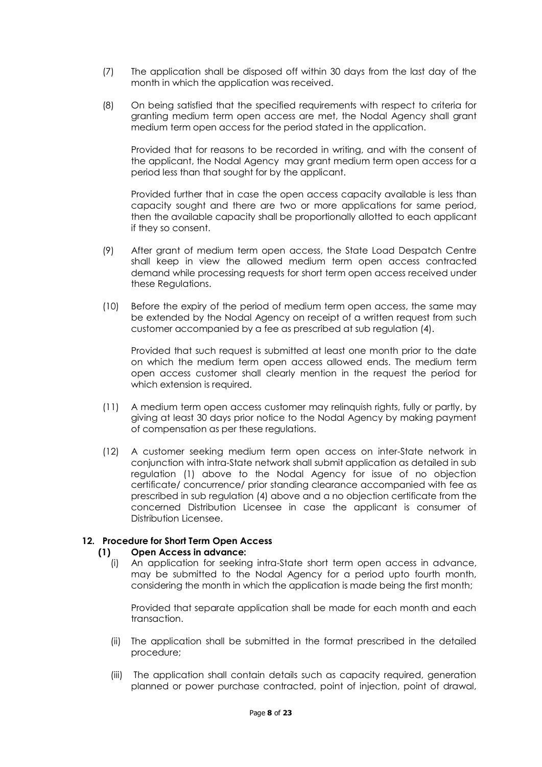- (7) The application shall be disposed off within 30 days from the last day of the month in which the application was received.
- (8) On being satisfied that the specified requirements with respect to criteria for granting medium term open access are met, the Nodal Agency shall grant medium term open access for the period stated in the application.

Provided that for reasons to be recorded in writing, and with the consent of the applicant, the Nodal Agency may grant medium term open access for a period less than that sought for by the applicant.

Provided further that in case the open access capacity available is less than capacity sought and there are two or more applications for same period, then the available capacity shall be proportionally allotted to each applicant if they so consent.

- (9) After grant of medium term open access, the State Load Despatch Centre shall keep in view the allowed medium term open access contracted demand while processing requests for short term open access received under these Regulations.
- (10) Before the expiry of the period of medium term open access, the same may be extended by the Nodal Agency on receipt of a written request from such customer accompanied by a fee as prescribed at sub regulation (4).

Provided that such request is submitted at least one month prior to the date on which the medium term open access allowed ends. The medium term open access customer shall clearly mention in the request the period for which extension is required.

- (11) A medium term open access customer may relinquish rights, fully or partly, by giving at least 30 days prior notice to the Nodal Agency by making payment of compensation as per these regulations.
- (12) A customer seeking medium term open access on inter-State network in conjunction with intra-State network shall submit application as detailed in sub regulation (1) above to the Nodal Agency for issue of no objection certificate/ concurrence/ prior standing clearance accompanied with fee as prescribed in sub regulation (4) above and a no objection certificate from the concerned Distribution Licensee in case the applicant is consumer of Distribution Licensee.

## **12. Procedure for Short Term Open Access**

## **(1) Open Access in advance:**

(i) An application for seeking intra-State short term open access in advance, may be submitted to the Nodal Agency for a period upto fourth month, considering the month in which the application is made being the first month;

Provided that separate application shall be made for each month and each transaction.

- (ii) The application shall be submitted in the format prescribed in the detailed procedure;
- (iii) The application shall contain details such as capacity required, generation planned or power purchase contracted, point of injection, point of drawal,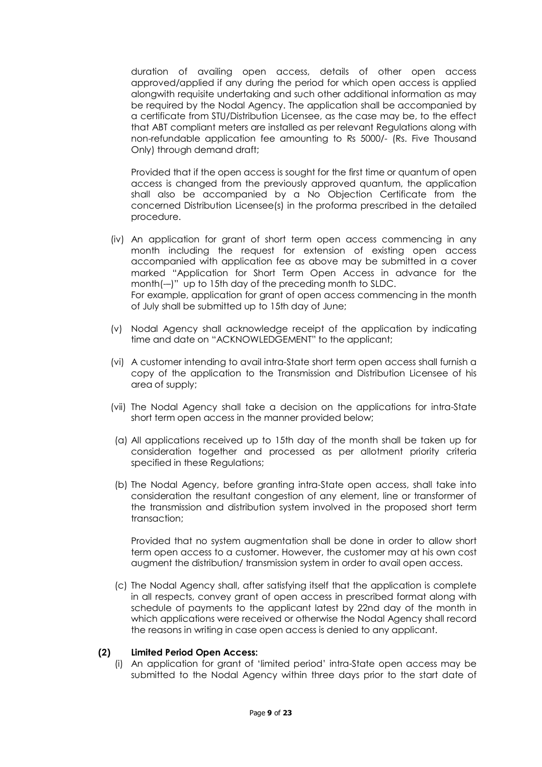duration of availing open access, details of other open access approved/applied if any during the period for which open access is applied alongwith requisite undertaking and such other additional information as may be required by the Nodal Agency. The application shall be accompanied by a certificate from STU/Distribution Licensee, as the case may be, to the effect that ABT compliant meters are installed as per relevant Regulations along with non-refundable application fee amounting to Rs 5000/- (Rs. Five Thousand Only) through demand draft;

Provided that if the open access is sought for the first time or quantum of open access is changed from the previously approved quantum, the application shall also be accompanied by a No Objection Certificate from the concerned Distribution Licensee(s) in the proforma prescribed in the detailed procedure.

- (iv) An application for grant of short term open access commencing in any month including the request for extension of existing open access accompanied with application fee as above may be submitted in a cover marked "Application for Short Term Open Access in advance for the month(-–)" up to 15th day of the preceding month to SLDC. For example, application for grant of open access commencing in the month of July shall be submitted up to 15th day of June;
- (v) Nodal Agency shall acknowledge receipt of the application by indicating time and date on "ACKNOWLEDGEMENT" to the applicant;
- (vi) A customer intending to avail intra-State short term open access shall furnish a copy of the application to the Transmission and Distribution Licensee of his area of supply;
- (vii) The Nodal Agency shall take a decision on the applications for intra-State short term open access in the manner provided below;
- (a) All applications received up to 15th day of the month shall be taken up for consideration together and processed as per allotment priority criteria specified in these Regulations;
- (b) The Nodal Agency, before granting intra-State open access, shall take into consideration the resultant congestion of any element, line or transformer of the transmission and distribution system involved in the proposed short term transaction;

Provided that no system augmentation shall be done in order to allow short term open access to a customer. However, the customer may at his own cost augment the distribution/ transmission system in order to avail open access.

(c) The Nodal Agency shall, after satisfying itself that the application is complete in all respects, convey grant of open access in prescribed format along with schedule of payments to the applicant latest by 22nd day of the month in which applications were received or otherwise the Nodal Agency shall record the reasons in writing in case open access is denied to any applicant.

#### **(2) Limited Period Open Access:**

(i) An application for grant of 'limited period' intra-State open access may be submitted to the Nodal Agency within three days prior to the start date of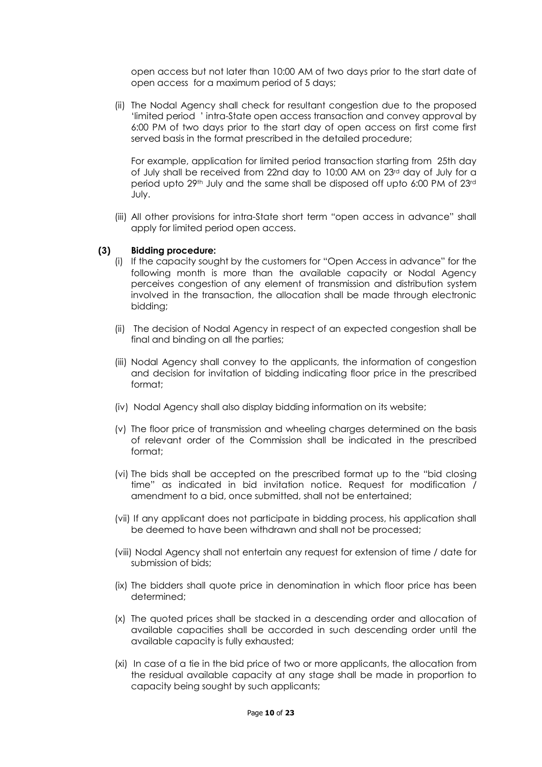open access but not later than 10:00 AM of two days prior to the start date of open access for a maximum period of 5 days;

(ii) The Nodal Agency shall check for resultant congestion due to the proposed 'limited period ' intra-State open access transaction and convey approval by 6:00 PM of two days prior to the start day of open access on first come first served basis in the format prescribed in the detailed procedure;

For example, application for limited period transaction starting from 25th day of July shall be received from 22nd day to 10:00 AM on 23rd day of July for a period upto 29th July and the same shall be disposed off upto 6:00 PM of 23rd July.

(iii) All other provisions for intra-State short term "open access in advance" shall apply for limited period open access.

### **(3) Bidding procedure:**

- (i) If the capacity sought by the customers for "Open Access in advance" for the following month is more than the available capacity or Nodal Agency perceives congestion of any element of transmission and distribution system involved in the transaction, the allocation shall be made through electronic bidding;
- (ii) The decision of Nodal Agency in respect of an expected congestion shall be final and binding on all the parties;
- (iii) Nodal Agency shall convey to the applicants, the information of congestion and decision for invitation of bidding indicating floor price in the prescribed format;
- (iv) Nodal Agency shall also display bidding information on its website;
- (v) The floor price of transmission and wheeling charges determined on the basis of relevant order of the Commission shall be indicated in the prescribed format;
- (vi) The bids shall be accepted on the prescribed format up to the "bid closing time" as indicated in bid invitation notice. Request for modification / amendment to a bid, once submitted, shall not be entertained;
- (vii) If any applicant does not participate in bidding process, his application shall be deemed to have been withdrawn and shall not be processed;
- (viii) Nodal Agency shall not entertain any request for extension of time / date for submission of bids;
- (ix) The bidders shall quote price in denomination in which floor price has been determined;
- (x) The quoted prices shall be stacked in a descending order and allocation of available capacities shall be accorded in such descending order until the available capacity is fully exhausted;
- (xi) In case of a tie in the bid price of two or more applicants, the allocation from the residual available capacity at any stage shall be made in proportion to capacity being sought by such applicants;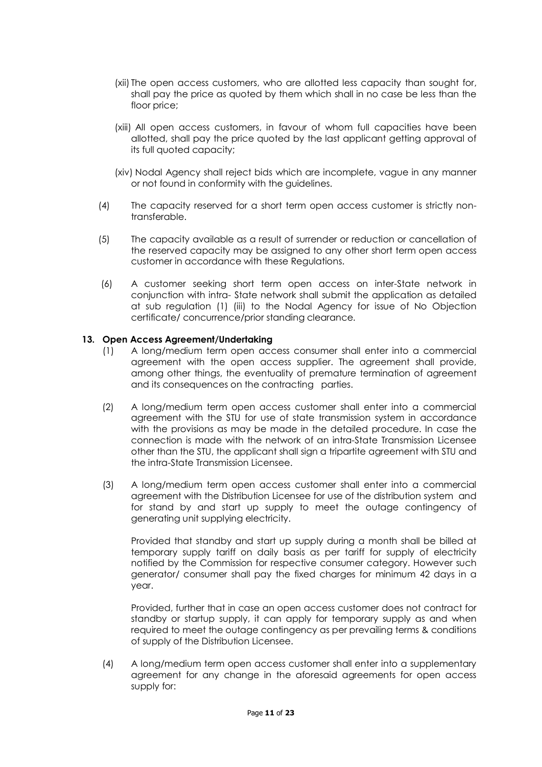- (xii) The open access customers, who are allotted less capacity than sought for, shall pay the price as quoted by them which shall in no case be less than the floor price;
- (xiii) All open access customers, in favour of whom full capacities have been allotted, shall pay the price quoted by the last applicant getting approval of its full quoted capacity;
- (xiv) Nodal Agency shall reject bids which are incomplete, vague in any manner or not found in conformity with the guidelines.
- (4) The capacity reserved for a short term open access customer is strictly nontransferable.
- (5) The capacity available as a result of surrender or reduction or cancellation of the reserved capacity may be assigned to any other short term open access customer in accordance with these Regulations.
- (6) A customer seeking short term open access on inter-State network in conjunction with intra- State network shall submit the application as detailed at sub regulation (1) (iii) to the Nodal Agency for issue of No Objection certificate/ concurrence/prior standing clearance.

### **13. Open Access Agreement/Undertaking**

- (1) A long/medium term open access consumer shall enter into a commercial agreement with the open access supplier. The agreement shall provide, among other things, the eventuality of premature termination of agreement and its consequences on the contracting parties.
- (2) A long/medium term open access customer shall enter into a commercial agreement with the STU for use of state transmission system in accordance with the provisions as may be made in the detailed procedure. In case the connection is made with the network of an intra-State Transmission Licensee other than the STU, the applicant shall sign a tripartite agreement with STU and the intra-State Transmission Licensee.
- (3) A long/medium term open access customer shall enter into a commercial agreement with the Distribution Licensee for use of the distribution system and for stand by and start up supply to meet the outage contingency of generating unit supplying electricity.

Provided that standby and start up supply during a month shall be billed at temporary supply tariff on daily basis as per tariff for supply of electricity notified by the Commission for respective consumer category. However such generator/ consumer shall pay the fixed charges for minimum 42 days in a year.

Provided, further that in case an open access customer does not contract for standby or startup supply, it can apply for temporary supply as and when required to meet the outage contingency as per prevailing terms & conditions of supply of the Distribution Licensee.

(4) A long/medium term open access customer shall enter into a supplementary agreement for any change in the aforesaid agreements for open access supply for: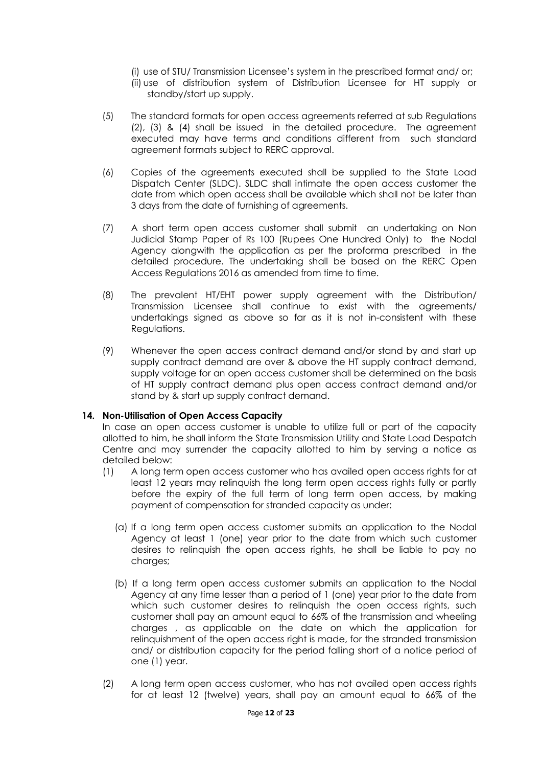- (i) use of STU/ Transmission Licensee's system in the prescribed format and/ or;
- (ii) use of distribution system of Distribution Licensee for HT supply or standby/start up supply.
- (5) The standard formats for open access agreements referred at sub Regulations (2), (3) & (4) shall be issued in the detailed procedure. The agreement executed may have terms and conditions different from such standard agreement formats subject to RERC approval.
- (6) Copies of the agreements executed shall be supplied to the State Load Dispatch Center (SLDC). SLDC shall intimate the open access customer the date from which open access shall be available which shall not be later than 3 days from the date of furnishing of agreements.
- (7) A short term open access customer shall submit an undertaking on Non Judicial Stamp Paper of Rs 100 (Rupees One Hundred Only) to the Nodal Agency alongwith the application as per the proforma prescribed in the detailed procedure. The undertaking shall be based on the RERC Open Access Regulations 2016 as amended from time to time.
- (8) The prevalent HT/EHT power supply agreement with the Distribution/ Transmission Licensee shall continue to exist with the agreements/ undertakings signed as above so far as it is not in-consistent with these Regulations.
- (9) Whenever the open access contract demand and/or stand by and start up supply contract demand are over & above the HT supply contract demand, supply voltage for an open access customer shall be determined on the basis of HT supply contract demand plus open access contract demand and/or stand by & start up supply contract demand.

## **14. Non-Utilisation of Open Access Capacity**

In case an open access customer is unable to utilize full or part of the capacity allotted to him, he shall inform the State Transmission Utility and State Load Despatch Centre and may surrender the capacity allotted to him by serving a notice as detailed below:

- (1) A long term open access customer who has availed open access rights for at least 12 years may relinquish the long term open access rights fully or partly before the expiry of the full term of long term open access, by making payment of compensation for stranded capacity as under:
	- (a) If a long term open access customer submits an application to the Nodal Agency at least 1 (one) year prior to the date from which such customer desires to relinquish the open access rights, he shall be liable to pay no charges;
	- (b) If a long term open access customer submits an application to the Nodal Agency at any time lesser than a period of 1 (one) year prior to the date from which such customer desires to relinquish the open access rights, such customer shall pay an amount equal to 66% of the transmission and wheeling charges , as applicable on the date on which the application for relinquishment of the open access right is made, for the stranded transmission and/ or distribution capacity for the period falling short of a notice period of one (1) year.
- (2) A long term open access customer, who has not availed open access rights for at least 12 (twelve) years, shall pay an amount equal to 66% of the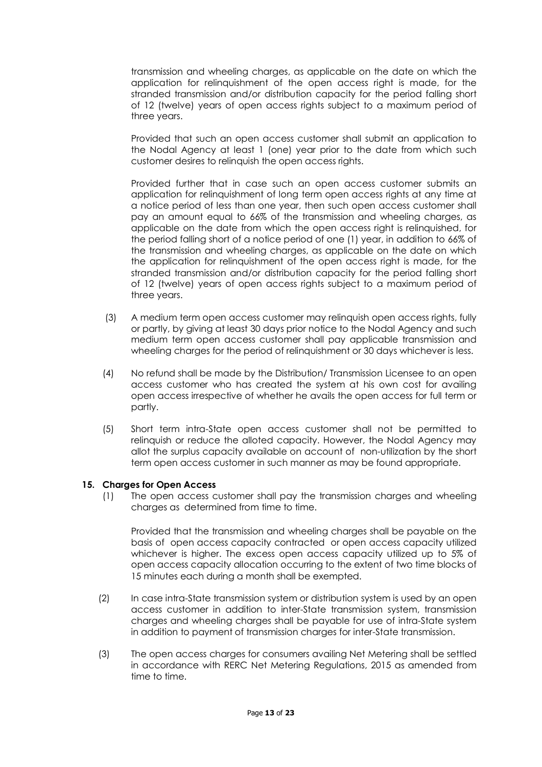transmission and wheeling charges, as applicable on the date on which the application for relinquishment of the open access right is made, for the stranded transmission and/or distribution capacity for the period falling short of 12 (twelve) years of open access rights subject to a maximum period of three years.

Provided that such an open access customer shall submit an application to the Nodal Agency at least 1 (one) year prior to the date from which such customer desires to relinquish the open access rights.

Provided further that in case such an open access customer submits an application for relinquishment of long term open access rights at any time at a notice period of less than one year, then such open access customer shall pay an amount equal to 66% of the transmission and wheeling charges, as applicable on the date from which the open access right is relinquished, for the period falling short of a notice period of one (1) year, in addition to 66% of the transmission and wheeling charges, as applicable on the date on which the application for relinquishment of the open access right is made, for the stranded transmission and/or distribution capacity for the period falling short of 12 (twelve) years of open access rights subject to a maximum period of three years.

- (3) A medium term open access customer may relinquish open access rights, fully or partly, by giving at least 30 days prior notice to the Nodal Agency and such medium term open access customer shall pay applicable transmission and wheeling charges for the period of relinquishment or 30 days whichever is less.
- (4) No refund shall be made by the Distribution/ Transmission Licensee to an open access customer who has created the system at his own cost for availing open access irrespective of whether he avails the open access for full term or partly.
- (5) Short term intra-State open access customer shall not be permitted to relinquish or reduce the alloted capacity. However, the Nodal Agency may allot the surplus capacity available on account of non-utilization by the short term open access customer in such manner as may be found appropriate.

## **15. Charges for Open Access**

(1) The open access customer shall pay the transmission charges and wheeling charges as determined from time to time.

Provided that the transmission and wheeling charges shall be payable on the basis of open access capacity contracted or open access capacity utilized whichever is higher. The excess open access capacity utilized up to 5% of open access capacity allocation occurring to the extent of two time blocks of 15 minutes each during a month shall be exempted.

- (2) In case intra-State transmission system or distribution system is used by an open access customer in addition to inter-State transmission system, transmission charges and wheeling charges shall be payable for use of intra-State system in addition to payment of transmission charges for inter-State transmission.
- (3) The open access charges for consumers availing Net Metering shall be settled in accordance with RERC Net Metering Regulations, 2015 as amended from time to time.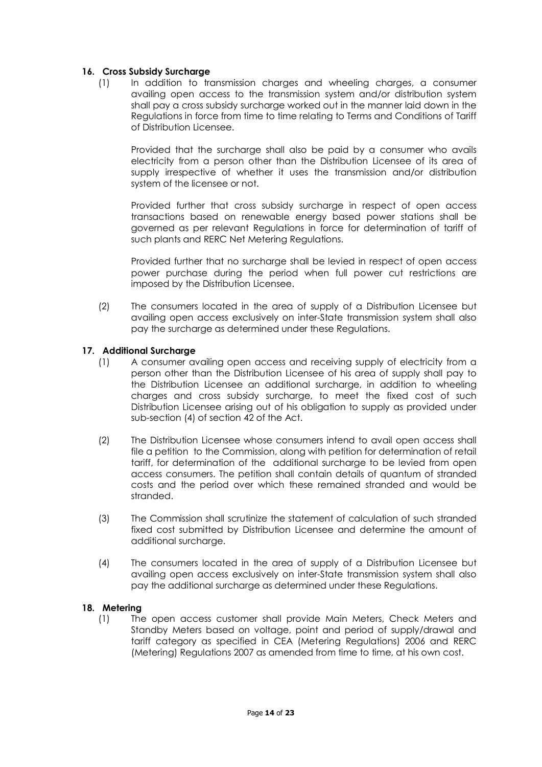### **16. Cross Subsidy Surcharge**

(1) In addition to transmission charges and wheeling charges, a consumer availing open access to the transmission system and/or distribution system shall pay a cross subsidy surcharge worked out in the manner laid down in the Regulations in force from time to time relating to Terms and Conditions of Tariff of Distribution Licensee.

Provided that the surcharge shall also be paid by a consumer who avails electricity from a person other than the Distribution Licensee of its area of supply irrespective of whether it uses the transmission and/or distribution system of the licensee or not.

Provided further that cross subsidy surcharge in respect of open access transactions based on renewable energy based power stations shall be governed as per relevant Regulations in force for determination of tariff of such plants and RERC Net Metering Regulations.

Provided further that no surcharge shall be levied in respect of open access power purchase during the period when full power cut restrictions are imposed by the Distribution Licensee.

(2) The consumers located in the area of supply of a Distribution Licensee but availing open access exclusively on inter-State transmission system shall also pay the surcharge as determined under these Regulations.

### **17. Additional Surcharge**

- (1) A consumer availing open access and receiving supply of electricity from a person other than the Distribution Licensee of his area of supply shall pay to the Distribution Licensee an additional surcharge, in addition to wheeling charges and cross subsidy surcharge, to meet the fixed cost of such Distribution Licensee arising out of his obligation to supply as provided under sub-section (4) of section 42 of the Act.
- (2) The Distribution Licensee whose consumers intend to avail open access shall file a petition to the Commission, along with petition for determination of retail tariff, for determination of the additional surcharge to be levied from open access consumers. The petition shall contain details of quantum of stranded costs and the period over which these remained stranded and would be stranded.
- (3) The Commission shall scrutinize the statement of calculation of such stranded fixed cost submitted by Distribution Licensee and determine the amount of additional surcharge.
- (4) The consumers located in the area of supply of a Distribution Licensee but availing open access exclusively on inter-State transmission system shall also pay the additional surcharge as determined under these Regulations.

#### **18. Metering**

(1) The open access customer shall provide Main Meters, Check Meters and Standby Meters based on voltage, point and period of supply/drawal and tariff category as specified in CEA (Metering Regulations) 2006 and RERC (Metering) Regulations 2007 as amended from time to time, at his own cost.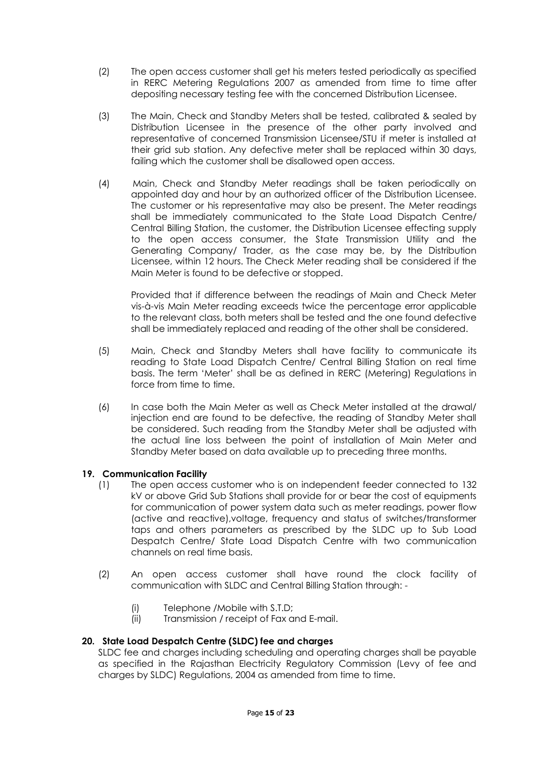- (2) The open access customer shall get his meters tested periodically as specified in RERC Metering Regulations 2007 as amended from time to time after depositing necessary testing fee with the concerned Distribution Licensee.
- (3) The Main, Check and Standby Meters shall be tested, calibrated & sealed by Distribution Licensee in the presence of the other party involved and representative of concerned Transmission Licensee/STU if meter is installed at their grid sub station. Any defective meter shall be replaced within 30 days, failing which the customer shall be disallowed open access.
- (4) Main, Check and Standby Meter readings shall be taken periodically on appointed day and hour by an authorized officer of the Distribution Licensee. The customer or his representative may also be present. The Meter readings shall be immediately communicated to the State Load Dispatch Centre/ Central Billing Station, the customer, the Distribution Licensee effecting supply to the open access consumer, the State Transmission Utility and the Generating Company/ Trader, as the case may be, by the Distribution Licensee, within 12 hours. The Check Meter reading shall be considered if the Main Meter is found to be defective or stopped.

Provided that if difference between the readings of Main and Check Meter vis-à-vis Main Meter reading exceeds twice the percentage error applicable to the relevant class, both meters shall be tested and the one found defective shall be immediately replaced and reading of the other shall be considered.

- (5) Main, Check and Standby Meters shall have facility to communicate its reading to State Load Dispatch Centre/ Central Billing Station on real time basis. The term 'Meter' shall be as defined in RERC (Metering) Regulations in force from time to time.
- (6) In case both the Main Meter as well as Check Meter installed at the drawal/ injection end are found to be defective, the reading of Standby Meter shall be considered. Such reading from the Standby Meter shall be adjusted with the actual line loss between the point of installation of Main Meter and Standby Meter based on data available up to preceding three months.

## **19. Communication Facility**

- (1) The open access customer who is on independent feeder connected to 132 kV or above Grid Sub Stations shall provide for or bear the cost of equipments for communication of power system data such as meter readings, power flow (active and reactive),voltage, frequency and status of switches/transformer taps and others parameters as prescribed by the SLDC up to Sub Load Despatch Centre/ State Load Dispatch Centre with two communication channels on real time basis.
- (2) An open access customer shall have round the clock facility of communication with SLDC and Central Billing Station through: -
	- (i) Telephone /Mobile with S.T.D;
	- (ii) Transmission / receipt of Fax and E-mail.

## **20. State Load Despatch Centre (SLDC) fee and charges**

SLDC fee and charges including scheduling and operating charges shall be payable as specified in the Rajasthan Electricity Regulatory Commission (Levy of fee and charges by SLDC) Regulations, 2004 as amended from time to time.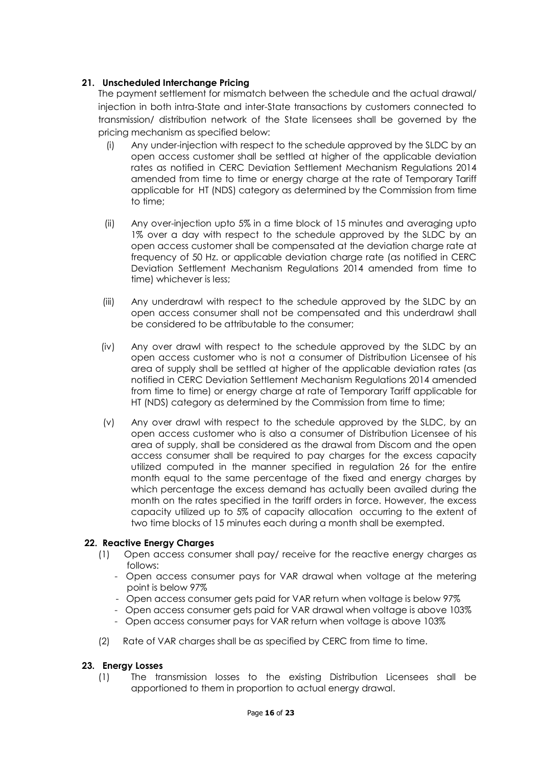# **21. Unscheduled Interchange Pricing**

The payment settlement for mismatch between the schedule and the actual drawal/ injection in both intra-State and inter-State transactions by customers connected to transmission/ distribution network of the State licensees shall be governed by the pricing mechanism as specified below:

- (i) Any under-injection with respect to the schedule approved by the SLDC by an open access customer shall be settled at higher of the applicable deviation rates as notified in CERC Deviation Settlement Mechanism Regulations 2014 amended from time to time or energy charge at the rate of Temporary Tariff applicable for HT (NDS) category as determined by the Commission from time to time;
- (ii) Any over-injection upto 5% in a time block of 15 minutes and averaging upto 1% over a day with respect to the schedule approved by the SLDC by an open access customer shall be compensated at the deviation charge rate at frequency of 50 Hz. or applicable deviation charge rate (as notified in CERC Deviation Settlement Mechanism Regulations 2014 amended from time to time) whichever is less;
- (iii) Any underdrawl with respect to the schedule approved by the SLDC by an open access consumer shall not be compensated and this underdrawl shall be considered to be attributable to the consumer;
- (iv) Any over drawl with respect to the schedule approved by the SLDC by an open access customer who is not a consumer of Distribution Licensee of his area of supply shall be settled at higher of the applicable deviation rates (as notified in CERC Deviation Settlement Mechanism Regulations 2014 amended from time to time) or energy charge at rate of Temporary Tariff applicable for HT (NDS) category as determined by the Commission from time to time;
- (v) Any over drawl with respect to the schedule approved by the SLDC, by an open access customer who is also a consumer of Distribution Licensee of his area of supply, shall be considered as the drawal from Discom and the open access consumer shall be required to pay charges for the excess capacity utilized computed in the manner specified in regulation 26 for the entire month equal to the same percentage of the fixed and energy charges by which percentage the excess demand has actually been availed during the month on the rates specified in the tariff orders in force. However, the excess capacity utilized up to 5% of capacity allocation occurring to the extent of two time blocks of 15 minutes each during a month shall be exempted.

## **22. Reactive Energy Charges**

- (1) Open access consumer shall pay/ receive for the reactive energy charges as follows:
	- Open access consumer pays for VAR drawal when voltage at the metering point is below 97%
	- Open access consumer gets paid for VAR return when voltage is below 97%
	- Open access consumer gets paid for VAR drawal when voltage is above 103%
	- Open access consumer pays for VAR return when voltage is above 103%
- (2) Rate of VAR charges shall be as specified by CERC from time to time.

## **23. Energy Losses**

(1) The transmission losses to the existing Distribution Licensees shall be apportioned to them in proportion to actual energy drawal.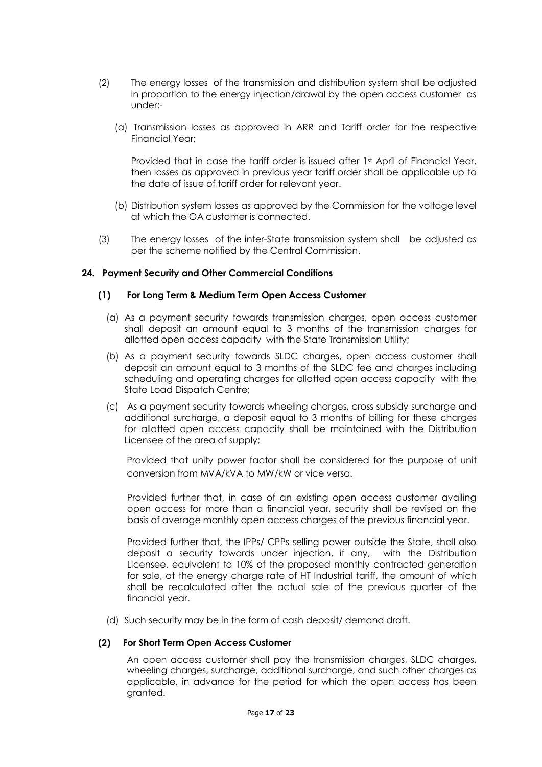- (2) The energy losses of the transmission and distribution system shall be adjusted in proportion to the energy injection/drawal by the open access customer as under:-
	- (a) Transmission losses as approved in ARR and Tariff order for the respective Financial Year;

Provided that in case the tariff order is issued after 1st April of Financial Year, then losses as approved in previous year tariff order shall be applicable up to the date of issue of tariff order for relevant year.

- (b) Distribution system losses as approved by the Commission for the voltage level at which the OA customer is connected.
- (3) The energy losses of the inter-State transmission system shall be adjusted as per the scheme notified by the Central Commission.

#### **24. Payment Security and Other Commercial Conditions**

#### **(1) For Long Term & Medium Term Open Access Customer**

- (a) As a payment security towards transmission charges, open access customer shall deposit an amount equal to 3 months of the transmission charges for allotted open access capacity with the State Transmission Utility;
- (b) As a payment security towards SLDC charges, open access customer shall deposit an amount equal to 3 months of the SLDC fee and charges including scheduling and operating charges for allotted open access capacity with the State Load Dispatch Centre;
- (c) As a payment security towards wheeling charges, cross subsidy surcharge and additional surcharge, a deposit equal to 3 months of billing for these charges for allotted open access capacity shall be maintained with the Distribution Licensee of the area of supply;

Provided that unity power factor shall be considered for the purpose of unit conversion from MVA/kVA to MW/kW or vice versa.

Provided further that, in case of an existing open access customer availing open access for more than a financial year, security shall be revised on the basis of average monthly open access charges of the previous financial year.

Provided further that, the IPPs/ CPPs selling power outside the State, shall also deposit a security towards under injection, if any, with the Distribution Licensee, equivalent to 10% of the proposed monthly contracted generation for sale, at the energy charge rate of HT Industrial tariff, the amount of which shall be recalculated after the actual sale of the previous quarter of the financial year.

(d) Such security may be in the form of cash deposit/ demand draft.

### **(2) For Short Term Open Access Customer**

An open access customer shall pay the transmission charges, SLDC charges, wheeling charges, surcharge, additional surcharge, and such other charges as applicable, in advance for the period for which the open access has been granted.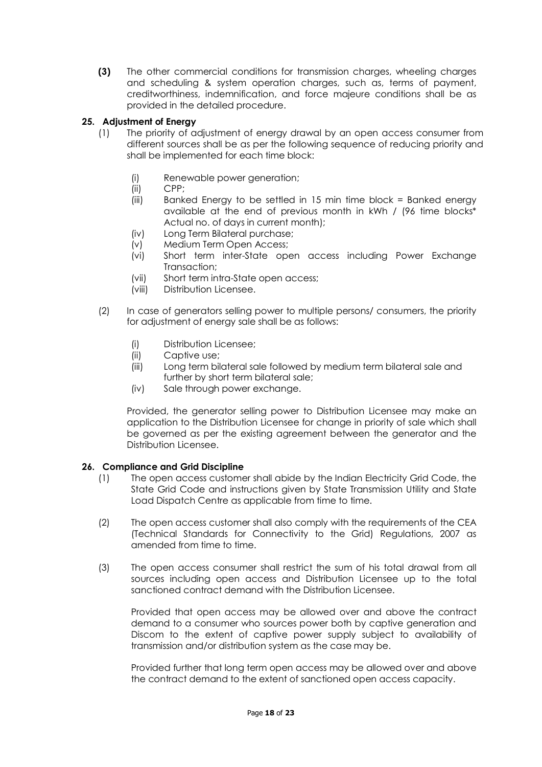**(3)** The other commercial conditions for transmission charges, wheeling charges and scheduling & system operation charges, such as, terms of payment, creditworthiness, indemnification, and force majeure conditions shall be as provided in the detailed procedure.

# **25. Adjustment of Energy**

- (1) The priority of adjustment of energy drawal by an open access consumer from different sources shall be as per the following sequence of reducing priority and shall be implemented for each time block:
	- (i) Renewable power generation;
	- (ii) CPP;
	- (iii) Banked Energy to be settled in 15 min time block = Banked energy available at the end of previous month in kWh / (96 time blocks\* Actual no. of days in current month);
	- (iv) Long Term Bilateral purchase;
	- (v) Medium Term Open Access;
	- (vi) Short term inter-State open access including Power Exchange Transaction;
	- (vii) Short term intra-State open access;
	- (viii) Distribution Licensee.
- (2) In case of generators selling power to multiple persons/ consumers, the priority for adjustment of energy sale shall be as follows:
	- (i) Distribution Licensee;
	- (ii) Captive use;
	- (iii) Long term bilateral sale followed by medium term bilateral sale and further by short term bilateral sale;
	- (iv) Sale through power exchange.

Provided, the generator selling power to Distribution Licensee may make an application to the Distribution Licensee for change in priority of sale which shall be governed as per the existing agreement between the generator and the Distribution Licensee.

#### **26. Compliance and Grid Discipline**

- (1) The open access customer shall abide by the Indian Electricity Grid Code, the State Grid Code and instructions given by State Transmission Utility and State Load Dispatch Centre as applicable from time to time.
- (2) The open access customer shall also comply with the requirements of the CEA (Technical Standards for Connectivity to the Grid) Regulations, 2007 as amended from time to time.
- (3) The open access consumer shall restrict the sum of his total drawal from all sources including open access and Distribution Licensee up to the total sanctioned contract demand with the Distribution Licensee.

Provided that open access may be allowed over and above the contract demand to a consumer who sources power both by captive generation and Discom to the extent of captive power supply subject to availability of transmission and/or distribution system as the case may be.

Provided further that long term open access may be allowed over and above the contract demand to the extent of sanctioned open access capacity.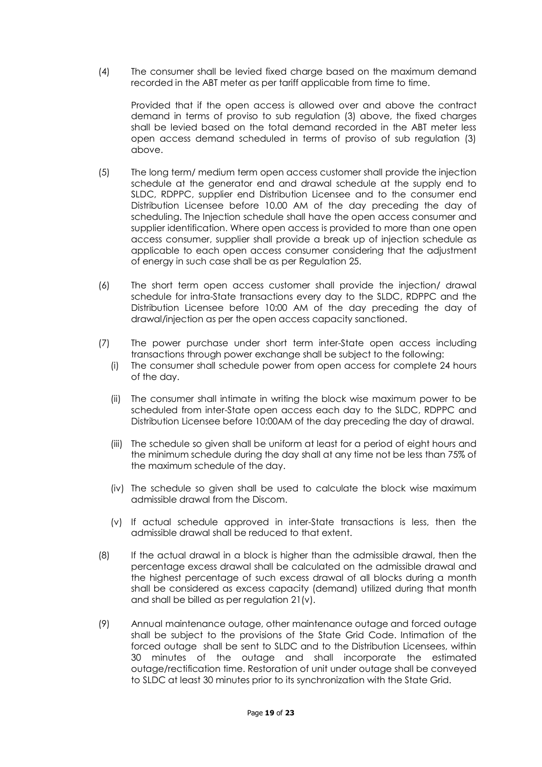(4) The consumer shall be levied fixed charge based on the maximum demand recorded in the ABT meter as per tariff applicable from time to time.

Provided that if the open access is allowed over and above the contract demand in terms of proviso to sub regulation (3) above, the fixed charges shall be levied based on the total demand recorded in the ABT meter less open access demand scheduled in terms of proviso of sub regulation (3) above.

- (5) The long term/ medium term open access customer shall provide the injection schedule at the generator end and drawal schedule at the supply end to SLDC, RDPPC, supplier end Distribution Licensee and to the consumer end Distribution Licensee before 10.00 AM of the day preceding the day of scheduling. The Injection schedule shall have the open access consumer and supplier identification. Where open access is provided to more than one open access consumer, supplier shall provide a break up of injection schedule as applicable to each open access consumer considering that the adjustment of energy in such case shall be as per Regulation 25.
- (6) The short term open access customer shall provide the injection/ drawal schedule for intra-State transactions every day to the SLDC, RDPPC and the Distribution Licensee before 10:00 AM of the day preceding the day of drawal/injection as per the open access capacity sanctioned.
- (7) The power purchase under short term inter-State open access including transactions through power exchange shall be subject to the following:
	- (i) The consumer shall schedule power from open access for complete 24 hours of the day.
	- (ii) The consumer shall intimate in writing the block wise maximum power to be scheduled from inter-State open access each day to the SLDC, RDPPC and Distribution Licensee before 10:00AM of the day preceding the day of drawal.
	- (iii) The schedule so given shall be uniform at least for a period of eight hours and the minimum schedule during the day shall at any time not be less than 75% of the maximum schedule of the day.
	- (iv) The schedule so given shall be used to calculate the block wise maximum admissible drawal from the Discom.
	- (v) If actual schedule approved in inter-State transactions is less, then the admissible drawal shall be reduced to that extent.
- (8) If the actual drawal in a block is higher than the admissible drawal, then the percentage excess drawal shall be calculated on the admissible drawal and the highest percentage of such excess drawal of all blocks during a month shall be considered as excess capacity (demand) utilized during that month and shall be billed as per regulation 21(v).
- (9) Annual maintenance outage, other maintenance outage and forced outage shall be subject to the provisions of the State Grid Code. Intimation of the forced outage shall be sent to SLDC and to the Distribution Licensees, within 30 minutes of the outage and shall incorporate the estimated outage/rectification time. Restoration of unit under outage shall be conveyed to SLDC at least 30 minutes prior to its synchronization with the State Grid.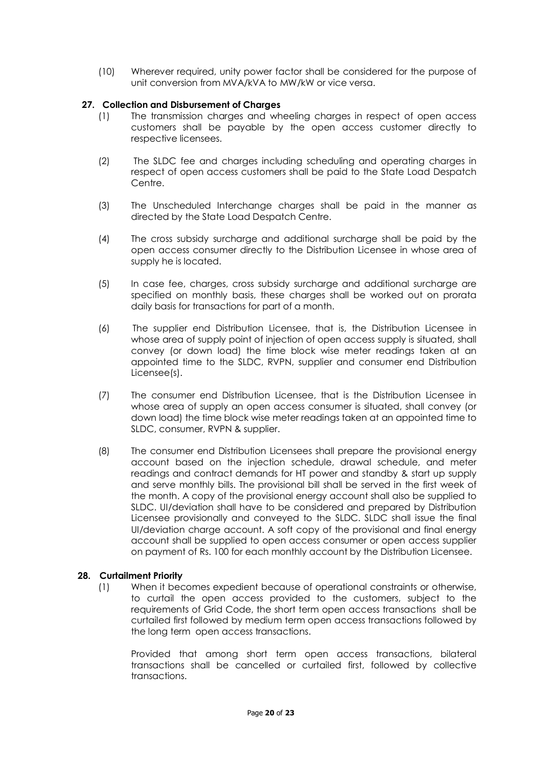(10) Wherever required, unity power factor shall be considered for the purpose of unit conversion from MVA/kVA to MW/kW or vice versa.

## **27. Collection and Disbursement of Charges**

- (1) The transmission charges and wheeling charges in respect of open access customers shall be payable by the open access customer directly to respective licensees.
- (2) The SLDC fee and charges including scheduling and operating charges in respect of open access customers shall be paid to the State Load Despatch Centre.
- (3) The Unscheduled Interchange charges shall be paid in the manner as directed by the State Load Despatch Centre.
- (4) The cross subsidy surcharge and additional surcharge shall be paid by the open access consumer directly to the Distribution Licensee in whose area of supply he is located.
- (5) In case fee, charges, cross subsidy surcharge and additional surcharge are specified on monthly basis, these charges shall be worked out on prorata daily basis for transactions for part of a month.
- (6) The supplier end Distribution Licensee, that is, the Distribution Licensee in whose area of supply point of injection of open access supply is situated, shall convey (or down load) the time block wise meter readings taken at an appointed time to the SLDC, RVPN, supplier and consumer end Distribution Licensee(s).
- (7) The consumer end Distribution Licensee, that is the Distribution Licensee in whose area of supply an open access consumer is situated, shall convey (or down load) the time block wise meter readings taken at an appointed time to SLDC, consumer, RVPN & supplier.
- (8) The consumer end Distribution Licensees shall prepare the provisional energy account based on the injection schedule, drawal schedule, and meter readings and contract demands for HT power and standby & start up supply and serve monthly bills. The provisional bill shall be served in the first week of the month. A copy of the provisional energy account shall also be supplied to SLDC. UI/deviation shall have to be considered and prepared by Distribution Licensee provisionally and conveyed to the SLDC. SLDC shall issue the final UI/deviation charge account. A soft copy of the provisional and final energy account shall be supplied to open access consumer or open access supplier on payment of Rs. 100 for each monthly account by the Distribution Licensee.

#### **28. Curtailment Priority**

(1) When it becomes expedient because of operational constraints or otherwise, to curtail the open access provided to the customers, subject to the requirements of Grid Code, the short term open access transactions shall be curtailed first followed by medium term open access transactions followed by the long term open access transactions.

Provided that among short term open access transactions, bilateral transactions shall be cancelled or curtailed first, followed by collective transactions.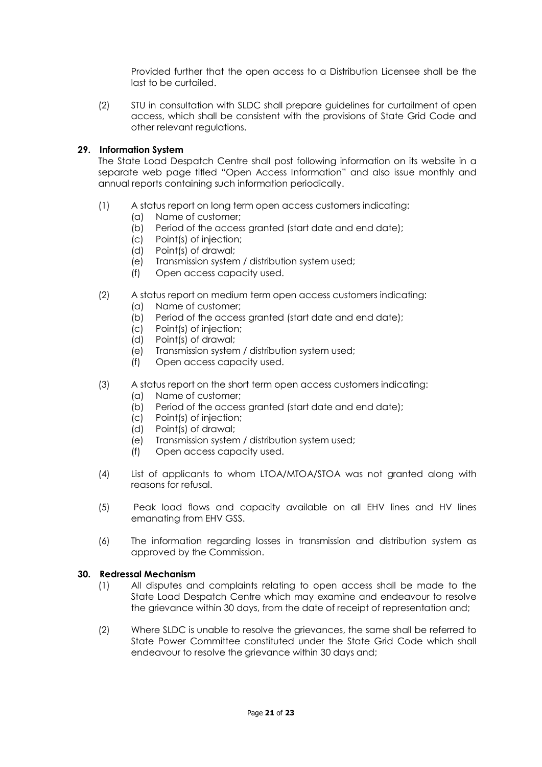Provided further that the open access to a Distribution Licensee shall be the last to be curtailed.

(2) STU in consultation with SLDC shall prepare guidelines for curtailment of open access, which shall be consistent with the provisions of State Grid Code and other relevant regulations.

## **29. Information System**

The State Load Despatch Centre shall post following information on its website in a separate web page titled "Open Access Information" and also issue monthly and annual reports containing such information periodically.

- (1) A status report on long term open access customers indicating:
	- (a) Name of customer;
	- (b) Period of the access granted (start date and end date);
	- (c) Point(s) of injection;
	- (d) Point(s) of drawal;
	- (e) Transmission system / distribution system used;
	- (f) Open access capacity used.
- (2) A status report on medium term open access customers indicating:
	- (a) Name of customer;
	- (b) Period of the access granted (start date and end date);
	- (c) Point(s) of injection;
	- (d) Point(s) of drawal;
	- (e) Transmission system / distribution system used;
	- (f) Open access capacity used.
- (3) A status report on the short term open access customers indicating:
	- (a) Name of customer;
	- (b) Period of the access granted (start date and end date);
	- (c) Point(s) of injection;
	- (d) Point(s) of drawal;
	- (e) Transmission system / distribution system used;
	- (f) Open access capacity used.
- (4) List of applicants to whom LTOA/MTOA/STOA was not granted along with reasons for refusal.
- (5) Peak load flows and capacity available on all EHV lines and HV lines emanating from EHV GSS.
- (6) The information regarding losses in transmission and distribution system as approved by the Commission.

## **30. Redressal Mechanism**

- (1) All disputes and complaints relating to open access shall be made to the State Load Despatch Centre which may examine and endeavour to resolve the grievance within 30 days, from the date of receipt of representation and;
- (2) Where SLDC is unable to resolve the grievances, the same shall be referred to State Power Committee constituted under the State Grid Code which shall endeavour to resolve the grievance within 30 days and;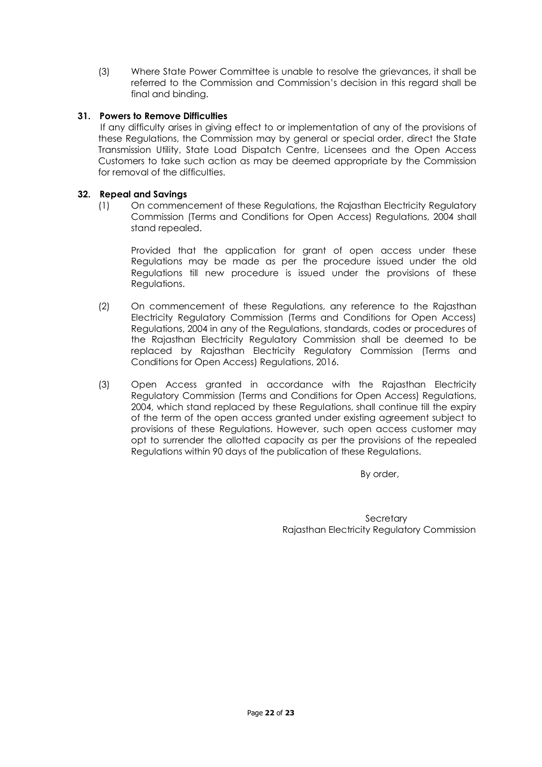(3) Where State Power Committee is unable to resolve the grievances, it shall be referred to the Commission and Commission's decision in this regard shall be final and binding.

# **31. Powers to Remove Difficulties**

If any difficulty arises in giving effect to or implementation of any of the provisions of these Regulations, the Commission may by general or special order, direct the State Transmission Utility, State Load Dispatch Centre, Licensees and the Open Access Customers to take such action as may be deemed appropriate by the Commission for removal of the difficulties.

# **32. Repeal and Savings**

(1) On commencement of these Regulations, the Rajasthan Electricity Regulatory Commission (Terms and Conditions for Open Access) Regulations, 2004 shall stand repealed.

Provided that the application for grant of open access under these Regulations may be made as per the procedure issued under the old Regulations till new procedure is issued under the provisions of these Regulations.

- (2) On commencement of these Regulations, any reference to the Rajasthan Electricity Regulatory Commission (Terms and Conditions for Open Access) Regulations, 2004 in any of the Regulations, standards, codes or procedures of the Rajasthan Electricity Regulatory Commission shall be deemed to be replaced by Rajasthan Electricity Regulatory Commission (Terms and Conditions for Open Access) Regulations, 2016.
- (3) Open Access granted in accordance with the Rajasthan Electricity Regulatory Commission (Terms and Conditions for Open Access) Regulations, 2004, which stand replaced by these Regulations, shall continue till the expiry of the term of the open access granted under existing agreement subject to provisions of these Regulations. However, such open access customer may opt to surrender the allotted capacity as per the provisions of the repealed Regulations within 90 days of the publication of these Regulations.

By order,

**Secretary** Rajasthan Electricity Regulatory Commission